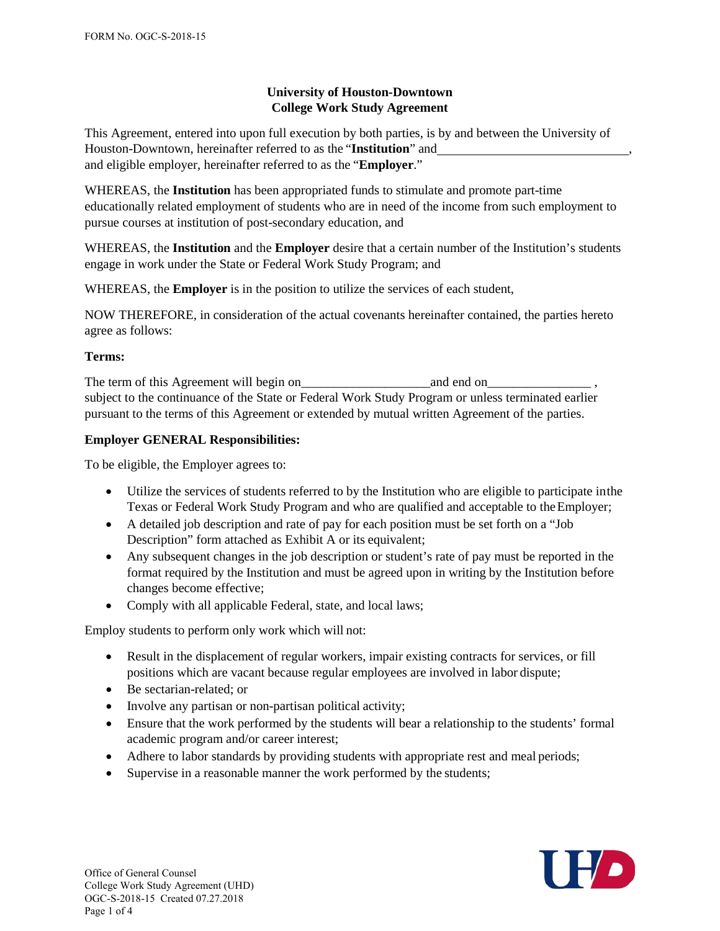# **University of Houston-Downtown College Work Study Agreement**

This Agreement, entered into upon full execution by both parties, is by and between the University of Houston-Downtown, hereinafter referred to as the "**Institution**" and , and eligible employer, hereinafter referred to as the "**Employer**."

WHEREAS, the **Institution** has been appropriated funds to stimulate and promote part-time educationally related employment of students who are in need of the income from such employment to pursue courses at institution of post-secondary education, and

WHEREAS, the **Institution** and the **Employer** desire that a certain number of the Institution's students engage in work under the State or Federal Work Study Program; and

WHEREAS, the **Employer** is in the position to utilize the services of each student,

NOW THEREFORE, in consideration of the actual covenants hereinafter contained, the parties hereto agree as follows:

## **Terms:**

The term of this Agreement will begin on\_\_\_\_\_\_\_\_\_\_\_\_\_\_\_\_\_\_\_\_and end on\_\_\_\_\_\_\_\_\_\_\_\_\_\_\_\_ , subject to the continuance of the State or Federal Work Study Program or unless terminated earlier pursuant to the terms of this Agreement or extended by mutual written Agreement of the parties.

## **Employer GENERAL Responsibilities:**

To be eligible, the Employer agrees to:

- Utilize the services of students referred to by the Institution who are eligible to participate inthe Texas or Federal Work Study Program and who are qualified and acceptable to the Employer;
- A detailed job description and rate of pay for each position must be set forth on a "Job Description" form attached as Exhibit A or its equivalent;
- Any subsequent changes in the job description or student's rate of pay must be reported in the format required by the Institution and must be agreed upon in writing by the Institution before changes become effective;
- Comply with all applicable Federal, state, and local laws;

Employ students to perform only work which will not:

- Result in the displacement of regular workers, impair existing contracts for services, or fill positions which are vacant because regular employees are involved in labor dispute;
- Be sectarian-related; or
- Involve any partisan or non-partisan political activity;
- Ensure that the work performed by the students will bear a relationship to the students' formal academic program and/or career interest;
- Adhere to labor standards by providing students with appropriate rest and meal periods;
- Supervise in a reasonable manner the work performed by the students;

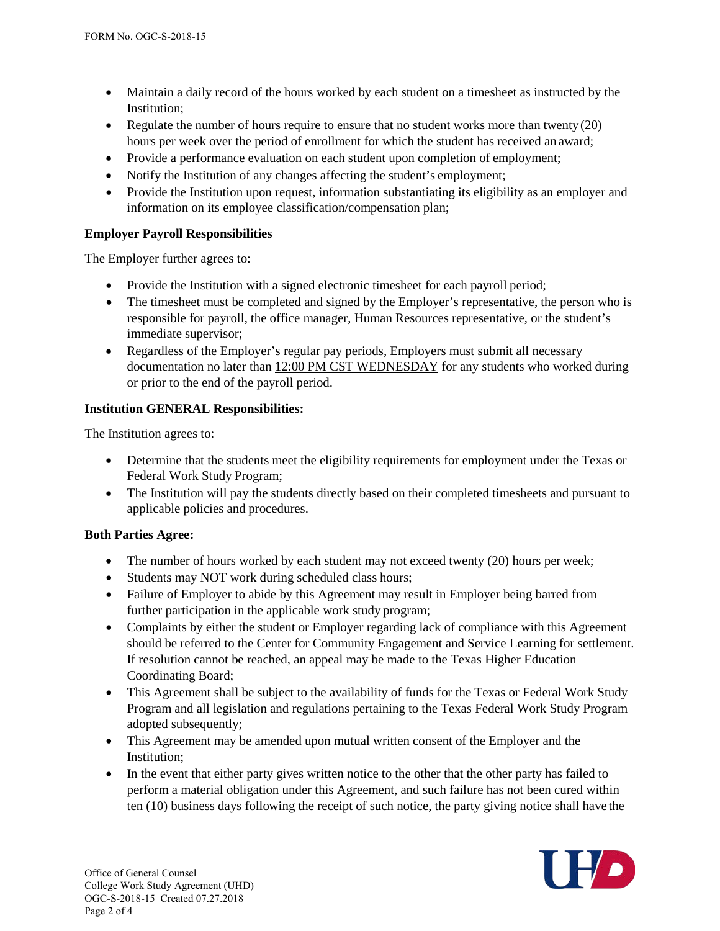- Maintain a daily record of the hours worked by each student on a timesheet as instructed by the Institution;
- Regulate the number of hours require to ensure that no student works more than twenty (20) hours per week over the period of enrollment for which the student has received an award;
- Provide a performance evaluation on each student upon completion of employment;
- Notify the Institution of any changes affecting the student's employment;
- Provide the Institution upon request, information substantiating its eligibility as an employer and information on its employee classification/compensation plan;

### **Employer Payroll Responsibilities**

The Employer further agrees to:

- Provide the Institution with a signed electronic timesheet for each payroll period;
- The timesheet must be completed and signed by the Employer's representative, the person who is responsible for payroll, the office manager, Human Resources representative, or the student's immediate supervisor;
- Regardless of the Employer's regular pay periods, Employers must submit all necessary documentation no later than 12:00 PM CST WEDNESDAY for any students who worked during or prior to the end of the payroll period.

### **Institution GENERAL Responsibilities:**

The Institution agrees to:

- Determine that the students meet the eligibility requirements for employment under the Texas or Federal Work Study Program;
- The Institution will pay the students directly based on their completed timesheets and pursuant to applicable policies and procedures.

### **Both Parties Agree:**

- The number of hours worked by each student may not exceed twenty (20) hours per week;
- Students may NOT work during scheduled class hours;
- Failure of Employer to abide by this Agreement may result in Employer being barred from further participation in the applicable work study program;
- Complaints by either the student or Employer regarding lack of compliance with this Agreement should be referred to the Center for Community Engagement and Service Learning for settlement. If resolution cannot be reached, an appeal may be made to the Texas Higher Education Coordinating Board;
- This Agreement shall be subject to the availability of funds for the Texas or Federal Work Study Program and all legislation and regulations pertaining to the Texas Federal Work Study Program adopted subsequently;
- This Agreement may be amended upon mutual written consent of the Employer and the Institution;
- In the event that either party gives written notice to the other that the other party has failed to perform a material obligation under this Agreement, and such failure has not been cured within ten (10) business days following the receipt of such notice, the party giving notice shall have the

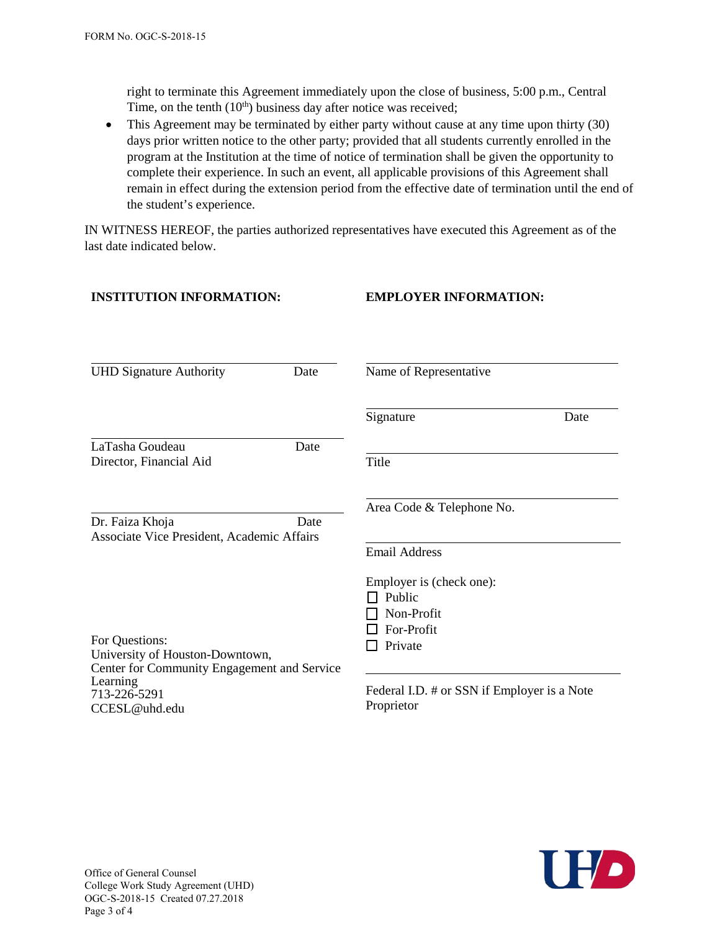**INSTITUTION INFORMATION:**

right to terminate this Agreement immediately upon the close of business, 5:00 p.m., Central Time, on the tenth  $(10<sup>th</sup>)$  business day after notice was received;

• This Agreement may be terminated by either party without cause at any time upon thirty (30) days prior written notice to the other party; provided that all students currently enrolled in the program at the Institution at the time of notice of termination shall be given the opportunity to complete their experience. In such an event, all applicable provisions of this Agreement shall remain in effect during the extension period from the effective date of termination until the end of the student's experience.

**EMPLOYER INFORMATION:**

IN WITNESS HEREOF, the parties authorized representatives have executed this Agreement as of the last date indicated below.

| <b>UHD Signature Authority</b><br>Date                                         | Name of Representative                                    |
|--------------------------------------------------------------------------------|-----------------------------------------------------------|
|                                                                                | Signature<br>Date                                         |
| LaTasha Goudeau<br>Date<br>Director, Financial Aid                             | Title                                                     |
| Date<br>Dr. Faiza Khoja<br>Associate Vice President, Academic Affairs          | Area Code & Telephone No.                                 |
|                                                                                | <b>Email Address</b><br>Employer is (check one):          |
|                                                                                | Public                                                    |
|                                                                                | Non-Profit                                                |
| For Questions:                                                                 | For-Profit<br>Private                                     |
| University of Houston-Downtown,<br>Center for Community Engagement and Service |                                                           |
| Learning<br>713-226-5291<br>CCESL@uhd.edu                                      | Federal I.D. # or SSN if Employer is a Note<br>Proprietor |